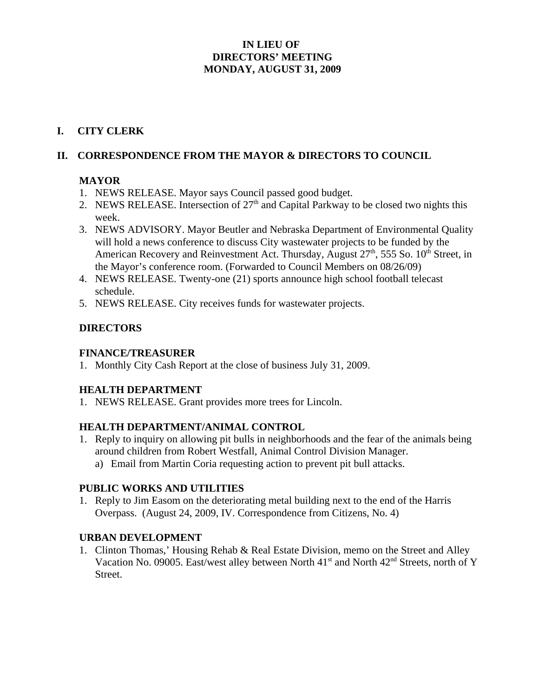## **IN LIEU OF DIRECTORS' MEETING MONDAY, AUGUST 31, 2009**

## **I. CITY CLERK**

## **II. CORRESPONDENCE FROM THE MAYOR & DIRECTORS TO COUNCIL**

#### **MAYOR**

- 1. NEWS RELEASE. Mayor says Council passed good budget.
- 2. NEWS RELEASE. Intersection of  $27<sup>th</sup>$  and Capital Parkway to be closed two nights this week.
- 3. NEWS ADVISORY. Mayor Beutler and Nebraska Department of Environmental Quality will hold a news conference to discuss City wastewater projects to be funded by the American Recovery and Reinvestment Act. Thursday, August  $27<sup>th</sup>$ , 555 So.  $10<sup>th</sup>$  Street, in the Mayor's conference room. (Forwarded to Council Members on 08/26/09)
- 4. NEWS RELEASE. Twenty-one (21) sports announce high school football telecast schedule.
- 5. NEWS RELEASE. City receives funds for wastewater projects.

## **DIRECTORS**

#### **FINANCE/TREASURER**

1. Monthly City Cash Report at the close of business July 31, 2009.

#### **HEALTH DEPARTMENT**

1. NEWS RELEASE. Grant provides more trees for Lincoln.

#### **HEALTH DEPARTMENT/ANIMAL CONTROL**

1. Reply to inquiry on allowing pit bulls in neighborhoods and the fear of the animals being around children from Robert Westfall, Animal Control Division Manager. a) Email from Martin Coria requesting action to prevent pit bull attacks.

# **PUBLIC WORKS AND UTILITIES**

1. Reply to Jim Easom on the deteriorating metal building next to the end of the Harris Overpass. (August 24, 2009, IV. Correspondence from Citizens, No. 4)

#### **URBAN DEVELOPMENT**

1. Clinton Thomas,' Housing Rehab & Real Estate Division, memo on the Street and Alley Vacation No. 09005. East/west alley between North  $41<sup>st</sup>$  and North  $42<sup>nd</sup>$  Streets, north of Y Street.